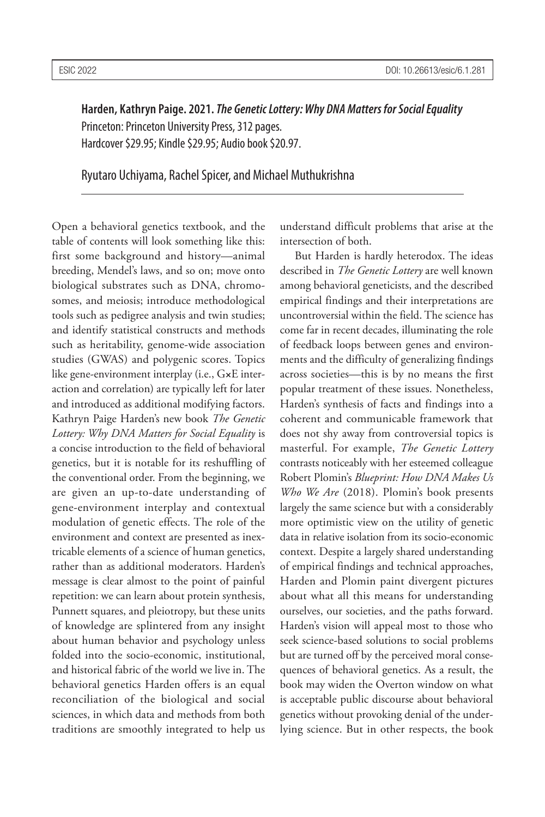**Harden, Kathryn Paige. 2021.** *The Genetic Lottery: Why DNA Matters for Social Equality* Princeton: Princeton University Press, 312 pages. Hardcover \$29.95; Kindle \$29.95; Audio book \$20.97.

Ryutaro Uchiyama, Rachel Spicer, and Michael Muthukrishna

Open a behavioral genetics textbook, and the table of contents will look something like this: first some background and history—animal breeding, Mendel's laws, and so on; move onto biological substrates such as DNA, chromosomes, and meiosis; introduce methodological tools such as pedigree analysis and twin studies; and identify statistical constructs and methods such as heritability, genome-wide association studies (GWAS) and polygenic scores. Topics like gene-environment interplay (i.e., G**×**E interaction and correlation) are typically left for later and introduced as additional modifying factors. Kathryn Paige Harden's new book *The Genetic Lottery: Why DNA Matters for Social Equality* is a concise introduction to the field of behavioral genetics, but it is notable for its reshuffling of the conventional order. From the beginning, we are given an up-to-date understanding of gene-environment interplay and contextual modulation of genetic effects. The role of the environment and context are presented as inextricable elements of a science of human genetics, rather than as additional moderators. Harden's message is clear almost to the point of painful repetition: we can learn about protein synthesis, Punnett squares, and pleiotropy, but these units of knowledge are splintered from any insight about human behavior and psychology unless folded into the socio-economic, institutional, and historical fabric of the world we live in. The behavioral genetics Harden offers is an equal reconciliation of the biological and social sciences, in which data and methods from both traditions are smoothly integrated to help us

understand difficult problems that arise at the intersection of both.

But Harden is hardly heterodox. The ideas described in *The Genetic Lottery* are well known among behavioral geneticists, and the described empirical findings and their interpretations are uncontroversial within the field. The science has come far in recent decades, illuminating the role of feedback loops between genes and environments and the difficulty of generalizing findings across societies—this is by no means the first popular treatment of these issues. Nonetheless, Harden's synthesis of facts and findings into a coherent and communicable framework that does not shy away from controversial topics is masterful. For example, *The Genetic Lottery* contrasts noticeably with her esteemed colleague Robert Plomin's *Blueprint: How DNA Makes Us Who We Are* (2018). Plomin's book presents largely the same science but with a considerably more optimistic view on the utility of genetic data in relative isolation from its socio-economic context. Despite a largely shared understanding of empirical findings and technical approaches, Harden and Plomin paint divergent pictures about what all this means for understanding ourselves, our societies, and the paths forward. Harden's vision will appeal most to those who seek science-based solutions to social problems but are turned off by the perceived moral consequences of behavioral genetics. As a result, the book may widen the Overton window on what is acceptable public discourse about behavioral genetics without provoking denial of the underlying science. But in other respects, the book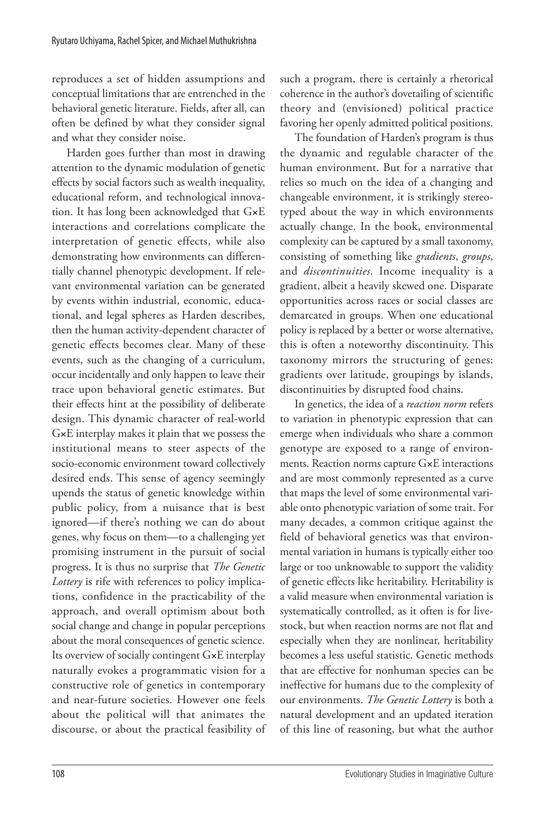reproduces a set of hidden assumptions and conceptual limitations that are entrenched in the behavioral genetic literature. Fields, after all, can often be defined by what they consider signal and what they consider noise.

Harden goes further than most in drawing attention to the dynamic modulation of genetic effects by social factors such as wealth inequality, educational reform, and technological innovation. It has long been acknowledged that G**×**E interactions and correlations complicate the interpretation of genetic effects, while also demonstrating how environments can differentially channel phenotypic development. If relevant environmental variation can be generated by events within industrial, economic, educational, and legal spheres as Harden describes, then the human activity-dependent character of genetic effects becomes clear. Many of these events, such as the changing of a curriculum, occur incidentally and only happen to leave their trace upon behavioral genetic estimates. But their effects hint at the possibility of deliberate design. This dynamic character of real-world G**×**E interplay makes it plain that we possess the institutional means to steer aspects of the socio-economic environment toward collectively desired ends. This sense of agency seemingly upends the status of genetic knowledge within public policy, from a nuisance that is best ignored—if there's nothing we can do about genes, why focus on them—to a challenging yet promising instrument in the pursuit of social progress. It is thus no surprise that *The Genetic Lottery* is rife with references to policy implications, confidence in the practicability of the approach, and overall optimism about both social change and change in popular perceptions about the moral consequences of genetic science. Its overview of socially contingent G**×**E interplay naturally evokes a programmatic vision for a constructive role of genetics in contemporary and near-future societies. However one feels about the political will that animates the discourse, or about the practical feasibility of such a program, there is certainly a rhetorical coherence in the author's dovetailing of scientific theory and (envisioned) political practice favoring her openly admitted political positions.

The foundation of Harden's program is thus the dynamic and regulable character of the human environment. But for a narrative that relies so much on the idea of a changing and changeable environment, it is strikingly stereotyped about the way in which environments actually change. In the book, environmental complexity can be captured by a small taxonomy, consisting of something like *gradients*, *groups*, and *discontinuities*. Income inequality is a gradient, albeit a heavily skewed one. Disparate opportunities across races or social classes are demarcated in groups. When one educational policy is replaced by a better or worse alternative, this is often a noteworthy discontinuity. This taxonomy mirrors the structuring of genes: gradients over latitude, groupings by islands, discontinuities by disrupted food chains.

In genetics, the idea of a *reaction norm* refers to variation in phenotypic expression that can emerge when individuals who share a common genotype are exposed to a range of environments. Reaction norms capture G**×**E interactions and are most commonly represented as a curve that maps the level of some environmental variable onto phenotypic variation of some trait. For many decades, a common critique against the field of behavioral genetics was that environmental variation in humans is typically either too large or too unknowable to support the validity of genetic effects like heritability. Heritability is a valid measure when environmental variation is systematically controlled, as it often is for livestock, but when reaction norms are not flat and especially when they are nonlinear, heritability becomes a less useful statistic. Genetic methods that are effective for nonhuman species can be ineffective for humans due to the complexity of our environments. *The Genetic Lottery* is both a natural development and an updated iteration of this line of reasoning, but what the author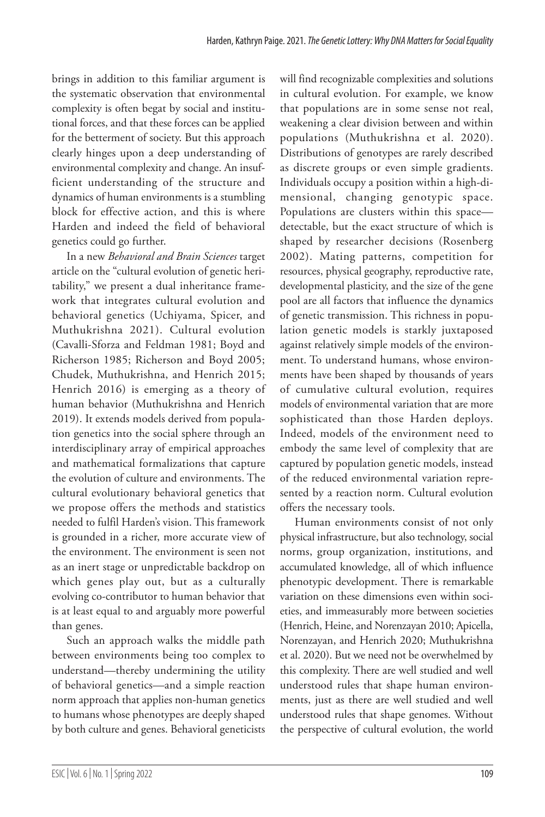brings in addition to this familiar argument is the systematic observation that environmental complexity is often begat by social and institutional forces, and that these forces can be applied for the betterment of society. But this approach clearly hinges upon a deep understanding of environmental complexity and change. An insufficient understanding of the structure and dynamics of human environments is a stumbling block for effective action, and this is where Harden and indeed the field of behavioral genetics could go further.

In a new *Behavioral and Brain Sciences* target article on the "cultural evolution of genetic heritability," we present a dual inheritance framework that integrates cultural evolution and behavioral genetics (Uchiyama, Spicer, and Muthukrishna 2021). Cultural evolution (Cavalli-Sforza and Feldman 1981; Boyd and Richerson 1985; Richerson and Boyd 2005; Chudek, Muthukrishna, and Henrich 2015; Henrich 2016) is emerging as a theory of human behavior (Muthukrishna and Henrich 2019). It extends models derived from population genetics into the social sphere through an interdisciplinary array of empirical approaches and mathematical formalizations that capture the evolution of culture and environments. The cultural evolutionary behavioral genetics that we propose offers the methods and statistics needed to fulfil Harden's vision. This framework is grounded in a richer, more accurate view of the environment. The environment is seen not as an inert stage or unpredictable backdrop on which genes play out, but as a culturally evolving co-contributor to human behavior that is at least equal to and arguably more powerful than genes.

Such an approach walks the middle path between environments being too complex to understand—thereby undermining the utility of behavioral genetics—and a simple reaction norm approach that applies non-human genetics to humans whose phenotypes are deeply shaped by both culture and genes. Behavioral geneticists will find recognizable complexities and solutions in cultural evolution. For example, we know that populations are in some sense not real, weakening a clear division between and within populations (Muthukrishna et al. 2020). Distributions of genotypes are rarely described as discrete groups or even simple gradients. Individuals occupy a position within a high-dimensional, changing genotypic space. Populations are clusters within this space detectable, but the exact structure of which is shaped by researcher decisions (Rosenberg 2002). Mating patterns, competition for resources, physical geography, reproductive rate, developmental plasticity, and the size of the gene pool are all factors that influence the dynamics of genetic transmission. This richness in population genetic models is starkly juxtaposed against relatively simple models of the environment. To understand humans, whose environments have been shaped by thousands of years of cumulative cultural evolution, requires models of environmental variation that are more sophisticated than those Harden deploys. Indeed, models of the environment need to embody the same level of complexity that are captured by population genetic models, instead of the reduced environmental variation represented by a reaction norm. Cultural evolution offers the necessary tools.

Human environments consist of not only physical infrastructure, but also technology, social norms, group organization, institutions, and accumulated knowledge, all of which influence phenotypic development. There is remarkable variation on these dimensions even within societies, and immeasurably more between societies (Henrich, Heine, and Norenzayan 2010; Apicella, Norenzayan, and Henrich 2020; Muthukrishna et al. 2020). But we need not be overwhelmed by this complexity. There are well studied and well understood rules that shape human environments, just as there are well studied and well understood rules that shape genomes. Without the perspective of cultural evolution, the world